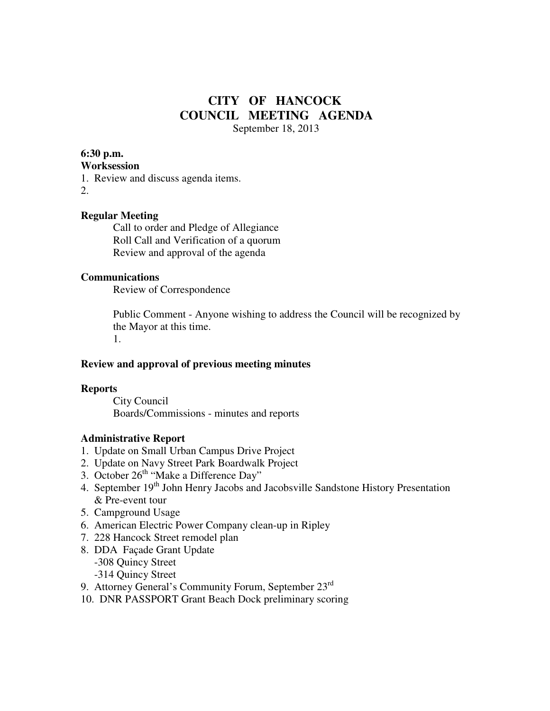# **CITY OF HANCOCK COUNCIL MEETING AGENDA**  September 18, 2013

**6:30 p.m.** 

#### **Worksession**

1. Review and discuss agenda items.

2.

## **Regular Meeting**

 Call to order and Pledge of Allegiance Roll Call and Verification of a quorum Review and approval of the agenda

#### **Communications**

Review of Correspondence

 Public Comment - Anyone wishing to address the Council will be recognized by the Mayor at this time.

1.

#### **Review and approval of previous meeting minutes**

#### **Reports**

City Council Boards/Commissions - minutes and reports

#### **Administrative Report**

- 1. Update on Small Urban Campus Drive Project
- 2. Update on Navy Street Park Boardwalk Project
- 3. October 26<sup>th</sup> "Make a Difference Day"
- 4. September 19<sup>th</sup> John Henry Jacobs and Jacobsville Sandstone History Presentation & Pre-event tour
- 5. Campground Usage
- 6. American Electric Power Company clean-up in Ripley
- 7. 228 Hancock Street remodel plan
- 8. DDA Façade Grant Update
	- -308 Quincy Street
	- -314 Quincy Street
- 9. Attorney General's Community Forum, September 23rd
- 10. DNR PASSPORT Grant Beach Dock preliminary scoring